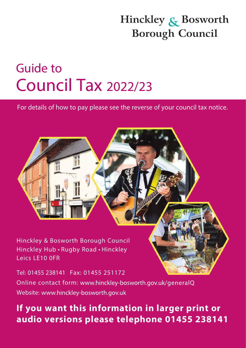## Hinckley & Bosworth **Borough Council**

## **Guide to Council Tax 2022/23**

For details of how to pay please see the reverse of your council tax notice. For details of how to pay please see the reverse of your council tax notice.

Hinckley Hub • Rugby Road • Hinckley Leics LE10 0FR

Tel: 01455 238141 Fax: 01455 251172 Online contact form: www.hinckley-bosworth.gov.uk/generalQ Website: www.hinckley-bosworth.gov.uk

## **If you want this information in larger print or audio versions please telephone 01455 238141**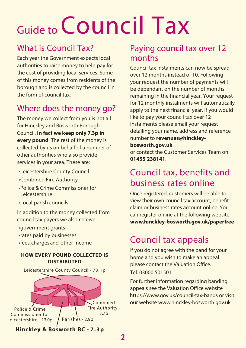# Guide to **Council Tax**

## What is Council Tax?

Each year the Government expects local authorities to raise money to help pay for the cost of providing local services. Some of this money comes from residents of the borough and is collected by the council in the form of council tax.

## Where does the money go?

The money we collect from you is not all for Hinckley and Bosworth Borough Council. **In fact we keep only 7.3p in every pound**. The rest of the money is collected by us on behalf of a number of other authorities who also provide services in your area. These are:

- Leicestershire County Council
- Combined Fire Authority
- Police & Crime Commissioner for Leicestershire
- Local parish councils

In addition to the money collected from council tax payers we also receive:

- government grants
- rates paid by businesses
- fees, charges and other income

#### **HOW EVERY POUND COLLECTED IS DISTRIBUTED**



#### Paying council tax over 12 months

Council tax instalments can now be spread over 12 months instead of 10. Following your request the number of payments will be dependant on the number of months remaining in the financial year. Your request for 12 monthly instalments will automatically apply to the next financial year. If you would like to pay your council tax over 12 instalments please email your request detailing your name, address and reference number to **revenues@hinckley-**

#### **bosworth.gov.uk**

or contact the Customer Services Team on **01455 238141**.

## Council tax, benefits and business rates online

Once registered, customers will be able to view their own council tax account, benefit claim or business rates account online. You can register online at the following website www.hinckley-bosworth.gov.uk/paperfree

## Council tax appeals

If you do not agree with the band for your home and you wish to make an appeal please contact the Valuation Office.

Tel: 03000 501501

For further information regarding banding appeals see the Valuation Office website https://www.gov.uk/council-tax-bands or visit our website www.hinckley-bosworth.gov.uk

 **Hinckley & Bosworth BC - 7.3p**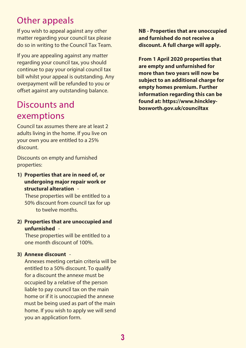## Other appeals

If you wish to appeal against any other matter regarding your council tax please do so in writing to the Council Tax Team.

If you are appealing against any matter regarding your council tax, you should continue to pay your original council tax bill whilst your appeal is outstanding. Any overpayment will be refunded to you or offset against any outstanding balance.

## Discounts and exemptions

Council tax assumes there are at least 2 adults living in the home. If you live on your own you are entitled to a 25% discount.

Discounts on empty and furnished properties:

**1) Properties that are in need of, or undergoing major repair work or structural alteration** -

These properties will be entitled to a 50% discount from council tax for up to twelve months.

**2) Properties that are unoccupied and unfurnished** -

These properties will be entitled to a one month discount of 100%.

#### **3) Annexe discount** -

Annexes meeting certain criteria will be entitled to a 50% discount. To qualify for a discount the annexe must be occupied by a relative of the person liable to pay council tax on the main home or if it is unoccupied the annexe must be being used as part of the main home. If you wish to apply we will send you an application form.

**NB - Properties that are unoccupied and furnished do not receive a discount. A full charge will apply.** 

**From 1 April 2020 properties that are empty and unfurnished for more than two years will now be subject to an additional charge for empty homes premium. Further information regarding this can be found at: <https://www.hinckley>bosworth.gov.uk/counciltax**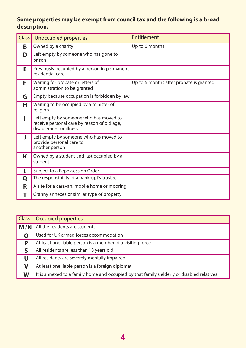#### **Some properties may be exempt from council tax and the following is a broad description.**

| Class <sup>1</sup> | <b>Unoccupied properties</b>                                                                                    | Entitlement                             |
|--------------------|-----------------------------------------------------------------------------------------------------------------|-----------------------------------------|
| B                  | Owned by a charity                                                                                              | Up to 6 months                          |
| D                  | Left empty by someone who has gone to<br>prison                                                                 |                                         |
| Е                  | Previously occupied by a person in permanent<br>residential care                                                |                                         |
| F                  | Waiting for probate or letters of<br>administration to be granted                                               | Up to 6 months after probate is granted |
| G                  | Empty because occupation is forbidden by law                                                                    |                                         |
| н                  | Waiting to be occupied by a minister of<br>religion                                                             |                                         |
|                    | Left empty by someone who has moved to<br>receive personal care by reason of old age,<br>disablement or illness |                                         |
| J.                 | Left empty by someone who has moved to<br>provide personal care to<br>another person                            |                                         |
| Κ                  | Owned by a student and last occupied by a<br>student                                                            |                                         |
| L                  | Subject to a Repossession Order                                                                                 |                                         |
| Q                  | The responsibility of a bankrupt's trustee                                                                      |                                         |
| R                  | A site for a caravan, mobile home or mooring                                                                    |                                         |
| т                  | Granny annexes or similar type of property                                                                      |                                         |

| <b>Class</b> | Occupied properties                                                                        |
|--------------|--------------------------------------------------------------------------------------------|
| M/N          | All the residents are students                                                             |
|              | Used for UK armed forces accommodation                                                     |
| p            | At least one liable person is a member of a visiting force                                 |
| S            | All residents are less than 18 years old                                                   |
| U            | All residents are severely mentally impaired                                               |
| V            | At least one liable person is a foreign diplomat                                           |
| W            | It is annexed to a family home and occupied by that family's elderly or disabled relatives |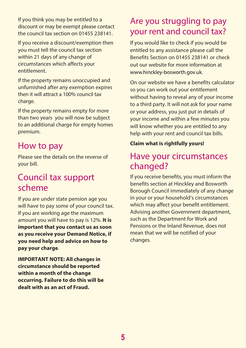If you think you may be entitled to a<br>discount or may be exempt please contact discount or may be exempt please contact the council tax section on 01455 238141.

If you receive a discount/exemption then you must tell the council tax section within 21 days of any change of circumstances which affects your entitlement.

If the property remains unoccupied and unfurnished after any exemption expires then it will attract a 100% council tax charge.

If the property remains empty for more than two years you will now be subject to an additional charge for empty homes premium.

#### How to pay

Please see the details on the reverse of your bill.

#### Council tax support scheme

If you are under state pension age you will have to pay some of your council tax. If you are working age the maximum amount you will have to pay is 12%. **It is important that you contact us as soon as you receive your Demand Notice, if you need help and advice on how to pay your charge**.

**IMPORTANT NOTE: All changes in circumstance should be reported within a month of the change occurring. Failure to do this will be dealt with as an act of Fraud.** 

## your rent and council tax?

www.hinckley-bosworth.gov.uk. If you would like to check if you would be entitled to any assistance please call the Benefits Section on 01455 238141 or check out our website for more information at

On our website we have a benefits calculator so you can work out your entitlement without having to reveal any of your income to a third party. It will not ask for your name or your address, you just put in details of your income and within a few minutes you will know whether you are entitled to any help with your rent and council tax bills.

#### **Claim what is rightfully yours!**

#### Have your circumstances changed?

If you receive benefits, you must inform the benefits section at Hinckley and Bosworth Borough Council immediately of any change in your or your household's circumstances which may affect your benefit entitlement. Advising another Government department, such as the Department for Work and Pensions or the Inland Revenue, does not mean that we will be notified of your changes.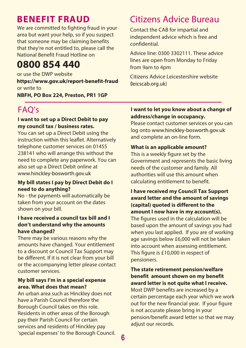### **BENEFIT FRAUD**

We are committed to fighting fraud in your area but want your help, so if you suspect that someone may be claiming benefits that they're not entitled to, please call the National Benefit Fraud Hotline on

## **0800 854 440**

or use the DWP website https://www.gov.uk/report-benefit-fraud or write to **NBFH, PO Box 224, Preston, PR1 1GP** 

## FAQ's

#### **I want to set up a Direct Debit to pay my council tax / business rates.**

You can set up a Direct Debit using the instruction within this leaflet. Alternatively telephone customer services on 01455 238141 who will arrange this without the need to complete any paperwork. You can also set up a Direct Debit online at www.hinckley-bosworth.gov.uk

#### **My bill states I pay by Direct Debit do I need to do anything?**

No - the payments will automatically be taken from your account on the dates shown on your bill.

#### **I have received a council tax bill and I don't understand why the amounts have changed?**

There may be various reasons why the amounts have changed. Your entitlement to a discount or Council Tax Support may be different. If it is not clear from your bill or the accompanying letter please contact customer services.

#### **My bill says I'm in a special expense area. What does that mean?**

 'special expenses' to the Borough Council. **6** An urban area such as Hinckley does not have a Parish Council therefore the Borough Council takes on this role. Residents in other areas of the Borough pay their Parish Council for certain services and residents of Hinckley pay

## Citizens Advice Bureau

 confidential. Contact the CAB for impartial and independent advice which is free and

Advice line: 0300 3302111. These advice lines are open from Monday to Friday from 9am to 4pm

Citizens Advice Leicestershire website (leicscab.org.uk)

#### **I want to let you know about a change of address/change in occupancy.**

Please contact customer services or you can log onto www.hinckley-bosworth.gov.uk and complete an on-line form.

#### **What is an applicable amount?**

This is a weekly figure set by the Government and represents the basic living needs of the customer and family. All authorities will use this amount when calculating entitlement to benefit.

#### **I have received my Council Tax Support award letter and the amount of savings (capital) quoted is different to the amount I now have in my account(s).**

The figures used in the calculation will be based upon the amount of savings you had when you last applied. If you are of working age savings below £6,000 will not be taken into account when assessing entitlement. This figure is £10,000 in respect of pensioners.

#### **The state retirement pension/welfare benefit amount shown on my benefit award letter is not quite what I receive.**  Most DWP benefits are increased by a certain percentage each year which we work out for the new financial year. If your figure is not accurate please bring in your pension/benefit award letter so that we may adjust our records.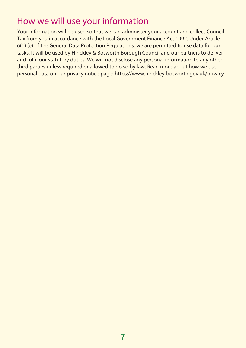## How we will use your information

Your information will be used so that we can administer your account and collect Council Tax from you in accordance with the Local Government Finance Act 1992. Under Article 6(1) (e) of the General Data Protection Regulations, we are permitted to use data for our tasks. It will be used by Hinckley & Bosworth Borough Council and our partners to deliver and fulfil our statutory duties. We will not disclose any personal information to any other third parties unless required or allowed to do so by law. Read more about how we use personal data on our privacy notice page: <https://www.hinckley-bosworth.gov.uk/privacy>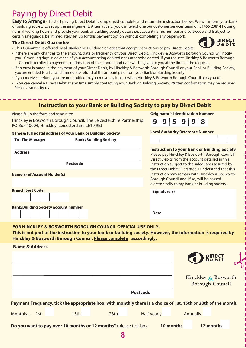## Paying by Direct Debit

normal working hours and provide your bank or building society details i.e. account name, number and sort-code and (subject to certain safeguards) be immediately set up for this payment option without completing any paperwork. **Easy to Arrange** - To start paying Direct Debit is simple, just complete and return the instruction below. We will inform your bank or building society to set up the arrangement . Alternatively, you can telephone our customer services team on 01455 238141 during

**DIRECT** Debit

#### **The Direct Debit Guarantee**

- This Guarantee is offered by all Banks and Building Societies that accept instructions to pay Direct Debits.
- • If there are any changes to the amount, date or frequency of your Direct Debit, Hinckley & Bosworth Borough Council will notify you 10 working days in advance of your account being debited or as otherwise agreed. If you request Hinckley & Bosworth Borough Council to collect a payment, confirmation of the amount and date will be given to you at the time of the request.
- • If an error is made in the payment of your Direct Debit, by Hinckley & Bosworth Borough Council or your Bank or Building Society, you are entitled to a full and immediate refund of the amount paid from your Bank or Building Society.
- If you receive a refund you are not entitled to, you must pay it back when Hinckley & Bosworth Borough Council asks you to.
- You can cancel a Direct Debit at any time simply contacting your Bank or Building Society. Written confirmation may be required. Please also notify us.

| Instruction to your Bank or Building Society to pay by Direct Debit                                                                                                                                                                          |                                                                                                                                                                                                                                                  |                                                                                                                                                                                                              |                    |  |           |  |          |                                           |                                               |  |
|----------------------------------------------------------------------------------------------------------------------------------------------------------------------------------------------------------------------------------------------|--------------------------------------------------------------------------------------------------------------------------------------------------------------------------------------------------------------------------------------------------|--------------------------------------------------------------------------------------------------------------------------------------------------------------------------------------------------------------|--------------------|--|-----------|--|----------|-------------------------------------------|-----------------------------------------------|--|
| Please fill in the form and send it to:                                                                                                                                                                                                      |                                                                                                                                                                                                                                                  |                                                                                                                                                                                                              |                    |  |           |  |          | <b>Originator's Identification Number</b> |                                               |  |
| PO Box 10004, Hinckley, Leicestershire LE10 9EJ                                                                                                                                                                                              | Hinckley & Bosworth Borough Council, The Leicestershire Partnership,                                                                                                                                                                             |                                                                                                                                                                                                              | 9                  |  | 9 59 9 8  |  |          |                                           |                                               |  |
| Name & full postal address of your Bank or Building Society                                                                                                                                                                                  |                                                                                                                                                                                                                                                  |                                                                                                                                                                                                              |                    |  |           |  |          | <b>Local Authority Reference Number</b>   |                                               |  |
| <b>To: The Manager</b>                                                                                                                                                                                                                       | <b>Bank/Building Society</b>                                                                                                                                                                                                                     |                                                                                                                                                                                                              |                    |  |           |  |          |                                           |                                               |  |
| <b>Address</b>                                                                                                                                                                                                                               |                                                                                                                                                                                                                                                  | <b>Instruction to your Bank or Building Society</b><br>Please pay Hinckley & Bosworth Borough Council<br>Direct Debits from the account detailed in this<br>instruction subject to the safeguards assured by |                    |  |           |  |          |                                           |                                               |  |
| the Direct Debit Guarantee. I understand that this<br>instruction may remain with Hinckley & Bosworth<br><b>Name(s) of Account Holder(s)</b><br>Borough Council and, if so, will be passed<br>electronically to my bank or building society. |                                                                                                                                                                                                                                                  |                                                                                                                                                                                                              |                    |  |           |  |          |                                           |                                               |  |
| <b>Branch Sort Code</b>                                                                                                                                                                                                                      |                                                                                                                                                                                                                                                  | Signature(s)                                                                                                                                                                                                 |                    |  |           |  |          |                                           |                                               |  |
| <b>Bank/Building Society account number</b>                                                                                                                                                                                                  |                                                                                                                                                                                                                                                  | <b>Date</b>                                                                                                                                                                                                  |                    |  |           |  |          |                                           |                                               |  |
|                                                                                                                                                                                                                                              | FOR HINCKLEY & BOSWORTH BOROUGH COUNCIL OFFICIAL USE ONLY.<br>This is not part of the instruction to your bank or building society. However, the information is required by<br>Hinckley & Bosworth Borough Council. Please complete accordingly. |                                                                                                                                                                                                              |                    |  |           |  |          |                                           |                                               |  |
| <b>Name &amp; Address</b>                                                                                                                                                                                                                    |                                                                                                                                                                                                                                                  |                                                                                                                                                                                                              |                    |  |           |  |          |                                           |                                               |  |
|                                                                                                                                                                                                                                              |                                                                                                                                                                                                                                                  |                                                                                                                                                                                                              |                    |  |           |  |          |                                           |                                               |  |
|                                                                                                                                                                                                                                              |                                                                                                                                                                                                                                                  |                                                                                                                                                                                                              |                    |  |           |  |          |                                           | Hinckley & Bosworth<br><b>Borough Council</b> |  |
|                                                                                                                                                                                                                                              |                                                                                                                                                                                                                                                  |                                                                                                                                                                                                              | Postcode           |  |           |  |          |                                           |                                               |  |
| Payment Frequency, tick the appropriate box, with monthly there is a choice of 1st, 15th or 28th of the month.                                                                                                                               |                                                                                                                                                                                                                                                  |                                                                                                                                                                                                              |                    |  |           |  |          |                                           |                                               |  |
| Monthly -<br>1st                                                                                                                                                                                                                             | 15 <sub>th</sub>                                                                                                                                                                                                                                 | 28 <sub>th</sub>                                                                                                                                                                                             | <b>Half yearly</b> |  |           |  | Annually |                                           |                                               |  |
| Do you want to pay over 10 months or 12 months? (please tick box)                                                                                                                                                                            |                                                                                                                                                                                                                                                  |                                                                                                                                                                                                              |                    |  | 10 months |  |          | 12 months                                 |                                               |  |
|                                                                                                                                                                                                                                              |                                                                                                                                                                                                                                                  | 8                                                                                                                                                                                                            |                    |  |           |  |          |                                           |                                               |  |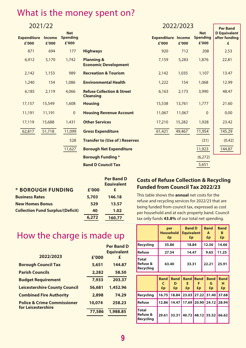## What is the money spent on?

| 2021/22                     |                 |                                        |                                                           |                                    | 2022/2023 |                                        |                                           |  |  |
|-----------------------------|-----------------|----------------------------------------|-----------------------------------------------------------|------------------------------------|-----------|----------------------------------------|-------------------------------------------|--|--|
| <b>Expenditure</b><br>£'000 | Income<br>£'000 | <b>Net</b><br><b>Spending</b><br>£'000 |                                                           | <b>Expenditure Income</b><br>£'000 | £'000     | <b>Net</b><br><b>Spending</b><br>£'000 | <b>D</b> Equivalent<br>after funding<br>£ |  |  |
| 871                         | 694             | 177                                    | <b>Highways</b>                                           | 920                                | 712       | 208                                    | 2.53                                      |  |  |
| 6,912                       | 5,170           | 1,742                                  | Planning &<br><b>Economic Development</b>                 | 7,159                              | 5,283     | 1,876                                  | 22.81                                     |  |  |
| 2,142                       | 1,153           | 989                                    | <b>Recreation &amp; Tourism</b>                           | 2,142                              | 1,035     | 1,107                                  | 13.47                                     |  |  |
| 1,240                       | 154             | 1,086                                  | <b>Environmental Health</b>                               | 1,222                              | 154       | 1,068                                  | 12.99                                     |  |  |
| 6,185                       | 2,119           | 4,066                                  | <b>Refuse Collection &amp; Street</b><br><b>Cleansing</b> | 6,163                              | 2,173     | 3,990                                  | 48.47                                     |  |  |
| 17,157                      | 15,549          | 1,608                                  | <b>Housing</b>                                            | 15,538                             | 13,761    | 1,777                                  | 21.60                                     |  |  |
| 11,191                      | 11,191          | $\mathbf{0}$                           | <b>Housing Revenue Account</b>                            | 11,067                             | 11,067    | $\Omega$                               | 0.00                                      |  |  |
| 17,119                      | 15,688          | 1,431                                  | <b>Other Services</b>                                     | 17,210                             | 15,282    | 1,928                                  | 23.42                                     |  |  |
| 62,817                      | 51,718          | 11,099                                 | <b>Gross Expenditure</b>                                  | 61,421                             | 49,467    | 11,954                                 | 145.29                                    |  |  |
|                             |                 | 528                                    | <b>Transfer to (Use of) Reserves</b>                      |                                    |           | (31)                                   | (0.42)                                    |  |  |
|                             |                 | 11,627                                 | <b>Borough Net Expenditure</b>                            |                                    |           | 11,923                                 | 144.87                                    |  |  |
|                             |                 |                                        | <b>Borough Funding *</b>                                  |                                    |           | (6,272)                                |                                           |  |  |
|                             |                 |                                        | <b>Band D Council Tax</b>                                 |                                    |           | 5,651                                  |                                           |  |  |

|                                          |       | <b>Per Band D</b><br><b>Equivalent</b> |
|------------------------------------------|-------|----------------------------------------|
| * BOROUGH FUNDING                        | £'000 | £                                      |
| <b>Business Rates</b>                    | 5,703 | 146.18                                 |
| <b>New Homes Bonus</b>                   | 529   | 13.57                                  |
| <b>Collection Fund Surplus/(Deficit)</b> | 40    | 1.02                                   |
|                                          | 6,272 | 160.77                                 |

#### **Costs of Refuse Collection & Recycling Funded from Council Tax 2022/23**

This table shows the **annual** net costs for the refuse and recycling services for 2022/23 that are being funded from council tax, expressed as cost per household and at each property band. Council tax only funds **43.8%** of our total net spending.

|                                | per<br><b>Household   Equivalent</b><br>£p | <b>Band D</b><br>£p | <b>Band</b><br>A<br>£p | <b>Band</b><br>в<br>£p |
|--------------------------------|--------------------------------------------|---------------------|------------------------|------------------------|
| Recycling                      | 35.86                                      | 18.84               | 12.56                  | 14.66                  |
| Refuse                         | 27.54                                      | 14.47               | 9.65                   | 11.25                  |
| Total<br>Refuse &<br>Recycling | 63.40                                      | 33.31               | 22.21                  | 25.91                  |

|                                                  | <b>Band</b><br>£p | D<br>£p                                       | <b>Band Band Band</b><br>£p | £p | <b>Band</b><br>G<br>£p | <b>Band</b><br>н<br>£p |
|--------------------------------------------------|-------------------|-----------------------------------------------|-----------------------------|----|------------------------|------------------------|
| Recycling                                        |                   | 16.75   18.84   23.03   27.22   31.40   37.68 |                             |    |                        |                        |
| <b>Refuse</b>                                    |                   | 12.86 14.47 17.69 20.90 24.12 28.94           |                             |    |                        |                        |
| <b>Total</b><br><b>Refuse &amp;</b><br>Recycling |                   | 29.61 33.31 40.72 48.12 55.52 66.62           |                             |    |                        |                        |

## How the charge is made up

| £'000  | Per Band D<br><b>Equivalent</b><br>£ |
|--------|--------------------------------------|
| 5,651  | 144.87                               |
| 2,282  | 58.50                                |
| 7,933  | 203.37                               |
| 56,681 | 1,452.96                             |
| 2,898  | 74.29                                |
| 10,074 | 258.23                               |
| 77,586 | 1,988.85                             |
|        |                                      |